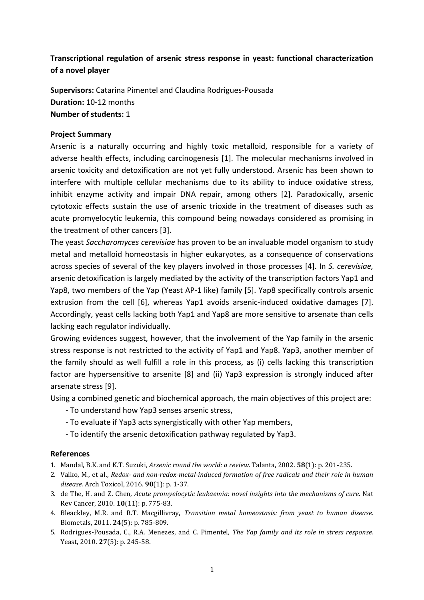## Transcriptional regulation of arsenic stress response in yeast: functional characterization of a novel player

**Supervisors:** Catarina Pimentel and Claudina Rodrigues-Pousada **Duration:** 10-12 months **Number of students: 1** 

## **Project Summary**

Arsenic is a naturally occurring and highly toxic metalloid, responsible for a variety of adverse health effects, including carcinogenesis [1]. The molecular mechanisms involved in arsenic toxicity and detoxification are not yet fully understood. Arsenic has been shown to interfere with multiple cellular mechanisms due to its ability to induce oxidative stress, inhibit enzyme activity and impair DNA repair, among others [2]. Paradoxically, arsenic cytotoxic effects sustain the use of arsenic trioxide in the treatment of diseases such as acute promyelocytic leukemia, this compound being nowadays considered as promising in the treatment of other cancers [3].

The yeast Saccharomyces cerevisiae has proven to be an invaluable model organism to study metal and metalloid homeostasis in higher eukaryotes, as a consequence of conservations across species of several of the key players involved in those processes [4]. In S. cerevisiae, arsenic detoxification is largely mediated by the activity of the transcription factors Yap1 and Yap8, two members of the Yap (Yeast AP-1 like) family [5]. Yap8 specifically controls arsenic extrusion from the cell [6], whereas Yap1 avoids arsenic-induced oxidative damages [7]. Accordingly, yeast cells lacking both Yap1 and Yap8 are more sensitive to arsenate than cells lacking each regulator individually.

Growing evidences suggest, however, that the involvement of the Yap family in the arsenic stress response is not restricted to the activity of Yap1 and Yap8. Yap3, another member of the family should as well fulfill a role in this process, as (i) cells lacking this transcription factor are hypersensitive to arsenite [8] and (ii) Yap3 expression is strongly induced after arsenate stress [9].

Using a combined genetic and biochemical approach, the main objectives of this project are:

- To understand how Yap3 senses arsenic stress,
- To evaluate if Yap3 acts synergistically with other Yap members,
- To identify the arsenic detoxification pathway regulated by Yap3.

## **References**

- 1. Mandal, B.K. and K.T. Suzuki, *Arsenic round the world: a review.* Talanta, 2002. **58**(1): p. 201-235.
- 2. Valko, M., et al., *Redox-* and non-redox-metal-induced formation of free radicals and their role in human *disease.* Arch Toxicol, 2016. **90**(1): p. 1-37.
- 3. de The, H. and Z. Chen, *Acute promyelocytic leukaemia: novel insights into the mechanisms of cure.* Nat Rev Cancer, 2010. **10**(11): p. 775-83.
- 4. Bleackley, M.R. and R.T. Macgillivray, *Transition metal homeostasis: from yeast to human disease.* Biometals, 2011. **24**(5): p. 785-809.
- 5. Rodrigues-Pousada, C., R.A. Menezes, and C. Pimentel, *The Yap family and its role in stress response.* Yeast, 2010. 27(5): p. 245-58.